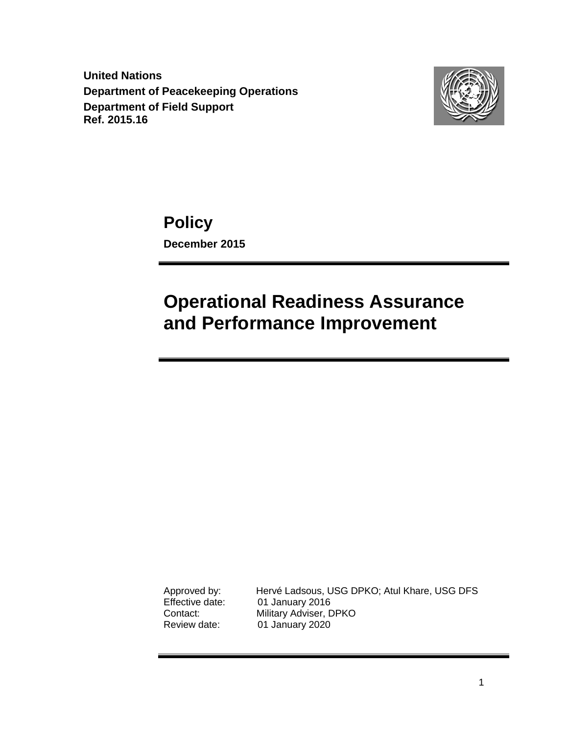**United Nations Department of Peacekeeping Operations Department of Field Support Ref. 2015.16**



**Policy December 2015**

# **Operational Readiness Assurance and Performance Improvement**

Approved by: Hervé Ladsous, USG DPKO; Atul Khare, USG DFS<br>Effective date: 01 January 2016 01 January 2016 Contact: Military Adviser, DPKO Review date: 01 January 2020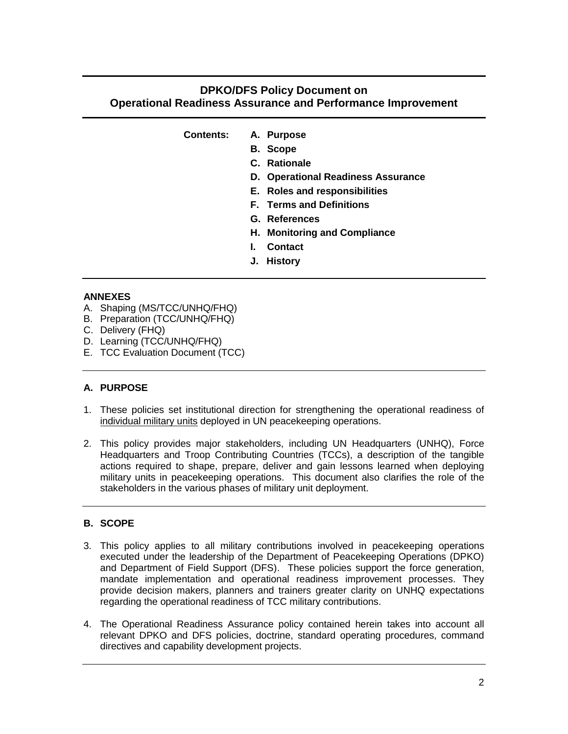### **DPKO/DFS Policy Document on Operational Readiness Assurance and Performance Improvement**

| <b>Contents:</b> |  | A. Purpose |
|------------------|--|------------|
|                  |  |            |

- **B. Scope**
- **C. Rationale**
- **D. Operational Readiness Assurance**
- **E. Roles and responsibilities**
- **F. Terms and Definitions**
- **G. References**
- **H. Monitoring and Compliance**
- **I. Contact**
- **J. History**

#### **ANNEXES**

- A. Shaping (MS/TCC/UNHQ/FHQ)
- B. Preparation (TCC/UNHQ/FHQ)
- C. Delivery (FHQ)
- D. Learning (TCC/UNHQ/FHQ)
- E. TCC Evaluation Document (TCC)

#### **A. PURPOSE**

- 1. These policies set institutional direction for strengthening the operational readiness of individual military units deployed in UN peacekeeping operations.
- 2. This policy provides major stakeholders, including UN Headquarters (UNHQ), Force Headquarters and Troop Contributing Countries (TCCs), a description of the tangible actions required to shape, prepare, deliver and gain lessons learned when deploying military units in peacekeeping operations. This document also clarifies the role of the stakeholders in the various phases of military unit deployment.

#### **B. SCOPE**

- 3. This policy applies to all military contributions involved in peacekeeping operations executed under the leadership of the Department of Peacekeeping Operations (DPKO) and Department of Field Support (DFS). These policies support the force generation, mandate implementation and operational readiness improvement processes. They provide decision makers, planners and trainers greater clarity on UNHQ expectations regarding the operational readiness of TCC military contributions.
- 4. The Operational Readiness Assurance policy contained herein takes into account all relevant DPKO and DFS policies, doctrine, standard operating procedures, command directives and capability development projects.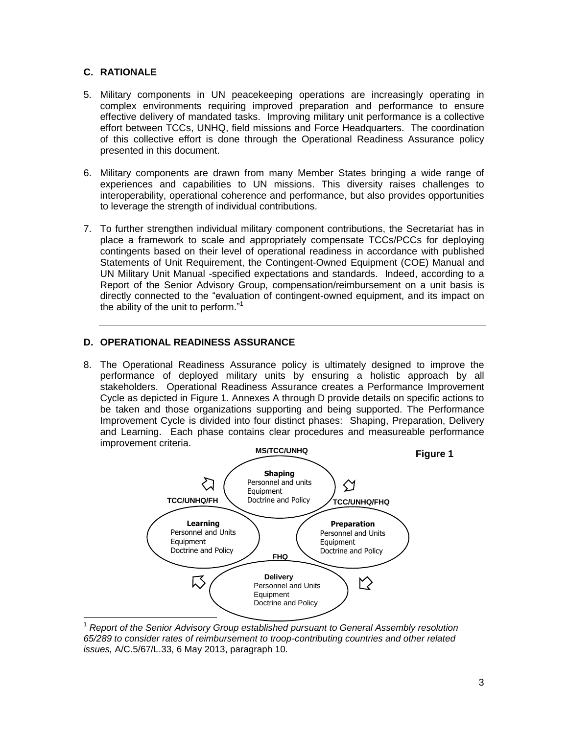#### **C. RATIONALE**

 $\overline{a}$ 

- 5. Military components in UN peacekeeping operations are increasingly operating in complex environments requiring improved preparation and performance to ensure effective delivery of mandated tasks. Improving military unit performance is a collective effort between TCCs, UNHQ, field missions and Force Headquarters. The coordination of this collective effort is done through the Operational Readiness Assurance policy presented in this document.
- 6. Military components are drawn from many Member States bringing a wide range of experiences and capabilities to UN missions. This diversity raises challenges to interoperability, operational coherence and performance, but also provides opportunities to leverage the strength of individual contributions.
- 7. To further strengthen individual military component contributions, the Secretariat has in place a framework to scale and appropriately compensate TCCs/PCCs for deploying contingents based on their level of operational readiness in accordance with published Statements of Unit Requirement, the Contingent-Owned Equipment (COE) Manual and UN Military Unit Manual -specified expectations and standards. Indeed, according to a Report of the Senior Advisory Group, compensation/reimbursement on a unit basis is directly connected to the "evaluation of contingent-owned equipment, and its impact on the ability of the unit to perform."<sup>1</sup>

#### **D. OPERATIONAL READINESS ASSURANCE**

8. The Operational Readiness Assurance policy is ultimately designed to improve the performance of deployed military units by ensuring a holistic approach by all stakeholders. Operational Readiness Assurance creates a Performance Improvement Cycle as depicted in Figure 1. Annexes A through D provide details on specific actions to be taken and those organizations supporting and being supported. The Performance Improvement Cycle is divided into four distinct phases: Shaping, Preparation, Delivery and Learning. Each phase contains clear procedures and measureable performance improvement criteria.



<sup>1</sup> *Report of the Senior Advisory Group established pursuant to General Assembly resolution 65/289 to consider rates of reimbursement to troop-contributing countries and other related issues,* A/C.5/67/L.33, 6 May 2013, paragraph 10.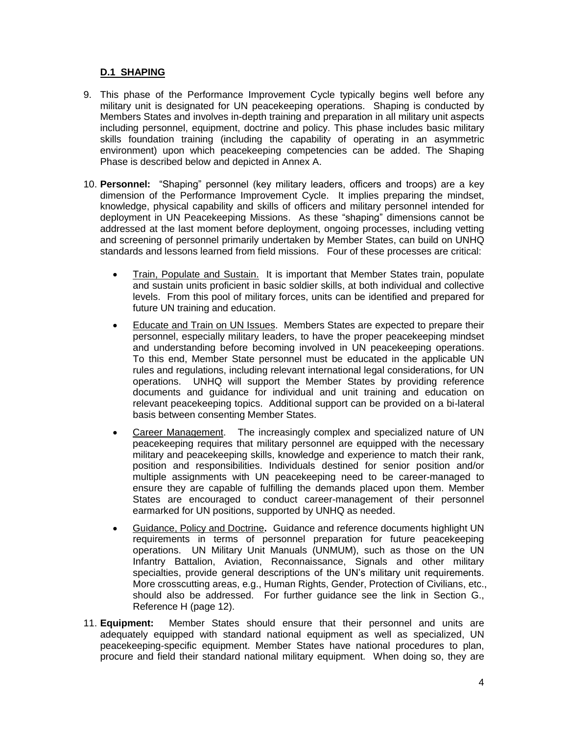#### **D.1 SHAPING**

- 9. This phase of the Performance Improvement Cycle typically begins well before any military unit is designated for UN peacekeeping operations. Shaping is conducted by Members States and involves in-depth training and preparation in all military unit aspects including personnel, equipment, doctrine and policy. This phase includes basic military skills foundation training (including the capability of operating in an asymmetric environment) upon which peacekeeping competencies can be added. The Shaping Phase is described below and depicted in Annex A.
- 10. **Personnel:** "Shaping" personnel (key military leaders, officers and troops) are a key dimension of the Performance Improvement Cycle. It implies preparing the mindset, knowledge, physical capability and skills of officers and military personnel intended for deployment in UN Peacekeeping Missions. As these "shaping" dimensions cannot be addressed at the last moment before deployment, ongoing processes, including vetting and screening of personnel primarily undertaken by Member States, can build on UNHQ standards and lessons learned from field missions. Four of these processes are critical:
	- Train, Populate and Sustain. It is important that Member States train, populate and sustain units proficient in basic soldier skills, at both individual and collective levels. From this pool of military forces, units can be identified and prepared for future UN training and education.
	- Educate and Train on UN Issues. Members States are expected to prepare their personnel, especially military leaders, to have the proper peacekeeping mindset and understanding before becoming involved in UN peacekeeping operations. To this end, Member State personnel must be educated in the applicable UN rules and regulations, including relevant international legal considerations, for UN operations. UNHQ will support the Member States by providing reference documents and guidance for individual and unit training and education on relevant peacekeeping topics. Additional support can be provided on a bi-lateral basis between consenting Member States.
	- Career Management. The increasingly complex and specialized nature of UN peacekeeping requires that military personnel are equipped with the necessary military and peacekeeping skills, knowledge and experience to match their rank, position and responsibilities. Individuals destined for senior position and/or multiple assignments with UN peacekeeping need to be career-managed to ensure they are capable of fulfilling the demands placed upon them. Member States are encouraged to conduct career-management of their personnel earmarked for UN positions, supported by UNHQ as needed.
	- Guidance, Policy and Doctrine**.** Guidance and reference documents highlight UN requirements in terms of personnel preparation for future peacekeeping operations. UN Military Unit Manuals (UNMUM), such as those on the UN Infantry Battalion, Aviation, Reconnaissance, Signals and other military specialties, provide general descriptions of the UN's military unit requirements. More crosscutting areas, e.g., Human Rights, Gender, Protection of Civilians, etc., should also be addressed. For further guidance see the link in Section G., Reference H (page 12).
- 11. **Equipment:** Member States should ensure that their personnel and units are adequately equipped with standard national equipment as well as specialized, UN peacekeeping-specific equipment. Member States have national procedures to plan, procure and field their standard national military equipment. When doing so, they are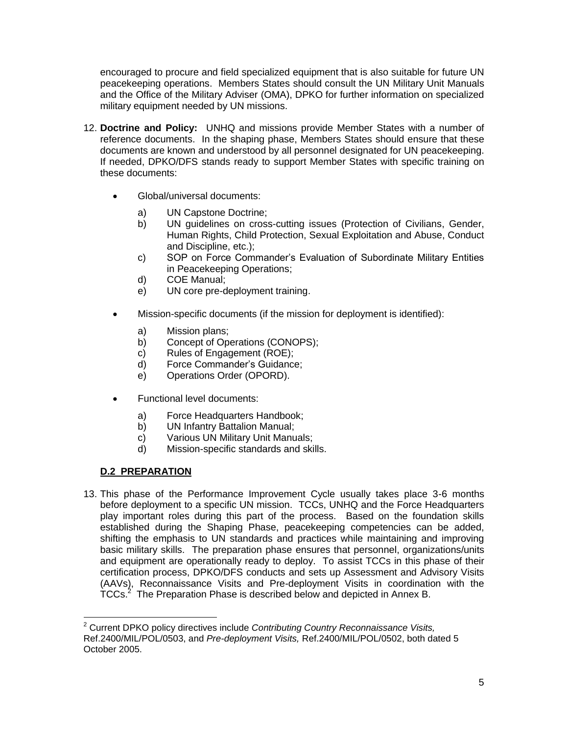encouraged to procure and field specialized equipment that is also suitable for future UN peacekeeping operations. Members States should consult the UN Military Unit Manuals and the Office of the Military Adviser (OMA), DPKO for further information on specialized military equipment needed by UN missions.

- 12. **Doctrine and Policy:** UNHQ and missions provide Member States with a number of reference documents. In the shaping phase, Members States should ensure that these documents are known and understood by all personnel designated for UN peacekeeping. If needed, DPKO/DFS stands ready to support Member States with specific training on these documents:
	- Global/universal documents:
		- a) UN Capstone Doctrine;
		- b) UN guidelines on cross-cutting issues (Protection of Civilians, Gender, Human Rights, Child Protection, Sexual Exploitation and Abuse, Conduct and Discipline, etc.);
		- c) SOP on Force Commander's Evaluation of Subordinate Military Entities in Peacekeeping Operations;
		- d) COE Manual;
		- e) UN core pre-deployment training.
	- Mission-specific documents (if the mission for deployment is identified):
		- a) Mission plans;
		- b) Concept of Operations (CONOPS);
		- c) Rules of Engagement (ROE);
		- d) Force Commander's Guidance;
		- e) Operations Order (OPORD).
	- Functional level documents:
		- a) Force Headquarters Handbook;
		- b) UN Infantry Battalion Manual;
		- c) Various UN Military Unit Manuals;
		- d) Mission-specific standards and skills.

### **D.2 PREPARATION**

 $\overline{a}$ 

13. This phase of the Performance Improvement Cycle usually takes place 3-6 months before deployment to a specific UN mission. TCCs, UNHQ and the Force Headquarters play important roles during this part of the process. Based on the foundation skills established during the Shaping Phase, peacekeeping competencies can be added, shifting the emphasis to UN standards and practices while maintaining and improving basic military skills. The preparation phase ensures that personnel, organizations/units and equipment are operationally ready to deploy. To assist TCCs in this phase of their certification process, DPKO/DFS conducts and sets up Assessment and Advisory Visits (AAVs), Reconnaissance Visits and Pre-deployment Visits in coordination with the TCCs.<sup>2</sup> The Preparation Phase is described below and depicted in Annex B.

<sup>2</sup> Current DPKO policy directives include *Contributing Country Reconnaissance Visits,*  Ref.2400/MIL/POL/0503, and *Pre-deployment Visits,* Ref.2400/MIL/POL/0502, both dated 5 October 2005.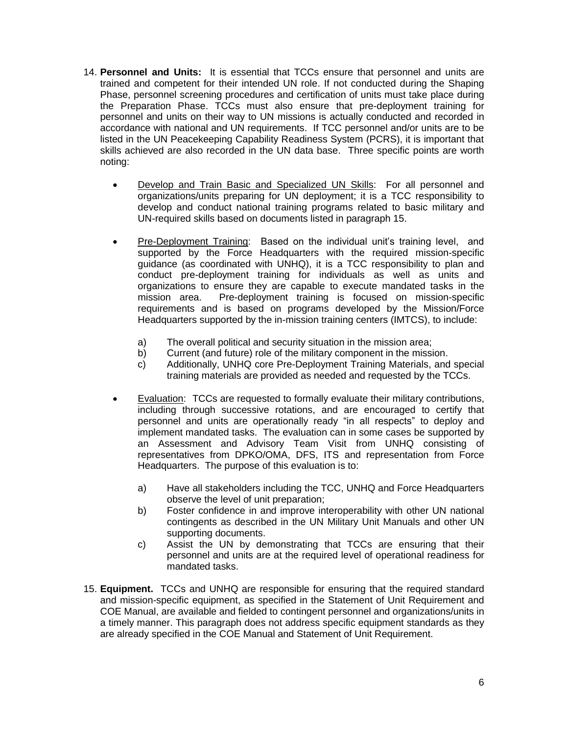- 14. **Personnel and Units:** It is essential that TCCs ensure that personnel and units are trained and competent for their intended UN role. If not conducted during the Shaping Phase, personnel screening procedures and certification of units must take place during the Preparation Phase. TCCs must also ensure that pre-deployment training for personnel and units on their way to UN missions is actually conducted and recorded in accordance with national and UN requirements. If TCC personnel and/or units are to be listed in the UN Peacekeeping Capability Readiness System (PCRS), it is important that skills achieved are also recorded in the UN data base. Three specific points are worth noting:
	- Develop and Train Basic and Specialized UN Skills: For all personnel and organizations/units preparing for UN deployment; it is a TCC responsibility to develop and conduct national training programs related to basic military and UN-required skills based on documents listed in paragraph 15.
	- Pre-Deployment Training: Based on the individual unit's training level, and supported by the Force Headquarters with the required mission-specific guidance (as coordinated with UNHQ), it is a TCC responsibility to plan and conduct pre-deployment training for individuals as well as units and organizations to ensure they are capable to execute mandated tasks in the mission area. Pre-deployment training is focused on mission-specific requirements and is based on programs developed by the Mission/Force Headquarters supported by the in-mission training centers (IMTCS), to include:
		- a) The overall political and security situation in the mission area;
		- b) Current (and future) role of the military component in the mission.
		- c) Additionally, UNHQ core Pre-Deployment Training Materials, and special training materials are provided as needed and requested by the TCCs.
	- Evaluation: TCCs are requested to formally evaluate their military contributions, including through successive rotations, and are encouraged to certify that personnel and units are operationally ready "in all respects" to deploy and implement mandated tasks. The evaluation can in some cases be supported by an Assessment and Advisory Team Visit from UNHQ consisting of representatives from DPKO/OMA, DFS, ITS and representation from Force Headquarters. The purpose of this evaluation is to:
		- a) Have all stakeholders including the TCC, UNHQ and Force Headquarters observe the level of unit preparation;
		- b) Foster confidence in and improve interoperability with other UN national contingents as described in the UN Military Unit Manuals and other UN supporting documents.
		- c) Assist the UN by demonstrating that TCCs are ensuring that their personnel and units are at the required level of operational readiness for mandated tasks.
- 15. **Equipment.** TCCs and UNHQ are responsible for ensuring that the required standard and mission-specific equipment, as specified in the Statement of Unit Requirement and COE Manual, are available and fielded to contingent personnel and organizations/units in a timely manner. This paragraph does not address specific equipment standards as they are already specified in the COE Manual and Statement of Unit Requirement.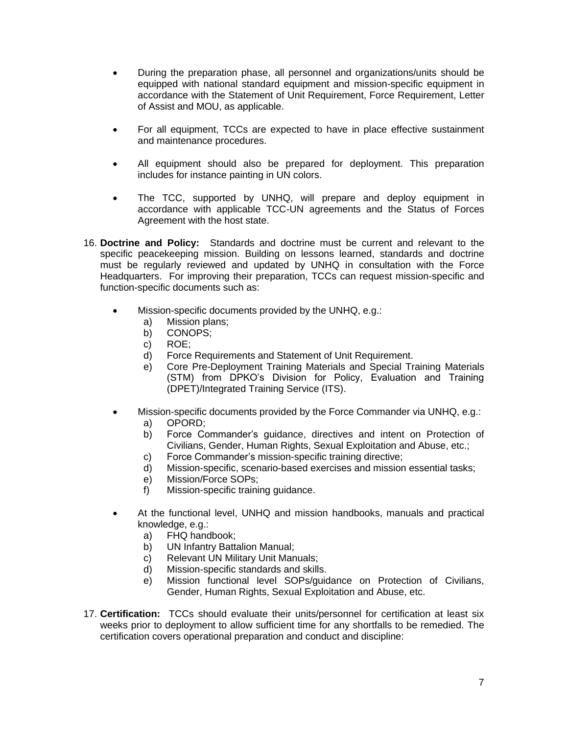- During the preparation phase, all personnel and organizations/units should be equipped with national standard equipment and mission-specific equipment in accordance with the Statement of Unit Requirement, Force Requirement, Letter of Assist and MOU, as applicable.
- For all equipment, TCCs are expected to have in place effective sustainment and maintenance procedures.
- All equipment should also be prepared for deployment. This preparation includes for instance painting in UN colors.
- The TCC, supported by UNHQ, will prepare and deploy equipment in accordance with applicable TCC-UN agreements and the Status of Forces Agreement with the host state.
- 16. **Doctrine and Policy:** Standards and doctrine must be current and relevant to the specific peacekeeping mission. Building on lessons learned, standards and doctrine must be regularly reviewed and updated by UNHQ in consultation with the Force Headquarters. For improving their preparation, TCCs can request mission-specific and function-specific documents such as:
	- Mission-specific documents provided by the UNHQ, e.g.:
		- a) Mission plans;
		- b) CONOPS;
		- c) ROE;
		- d) Force Requirements and Statement of Unit Requirement.
		- e) Core Pre-Deployment Training Materials and Special Training Materials (STM) from DPKO's Division for Policy, Evaluation and Training (DPET)/Integrated Training Service (ITS).
	- Mission-specific documents provided by the Force Commander via UNHQ, e.g.: a) OPORD;
		- b) Force Commander's guidance, directives and intent on Protection of Civilians, Gender, Human Rights, Sexual Exploitation and Abuse, etc.;
		- c) Force Commander's mission-specific training directive;
		- d) Mission-specific, scenario-based exercises and mission essential tasks;
		- e) Mission/Force SOPs;
		- f) Mission-specific training guidance.
	- At the functional level, UNHQ and mission handbooks, manuals and practical knowledge, e.g.:
		- a) FHQ handbook;
		- b) UN Infantry Battalion Manual;
		- c) Relevant UN Military Unit Manuals;
		- d) Mission-specific standards and skills.
		- e) Mission functional level SOPs/guidance on Protection of Civilians, Gender, Human Rights, Sexual Exploitation and Abuse, etc.
- 17. **Certification:** TCCs should evaluate their units/personnel for certification at least six weeks prior to deployment to allow sufficient time for any shortfalls to be remedied. The certification covers operational preparation and conduct and discipline: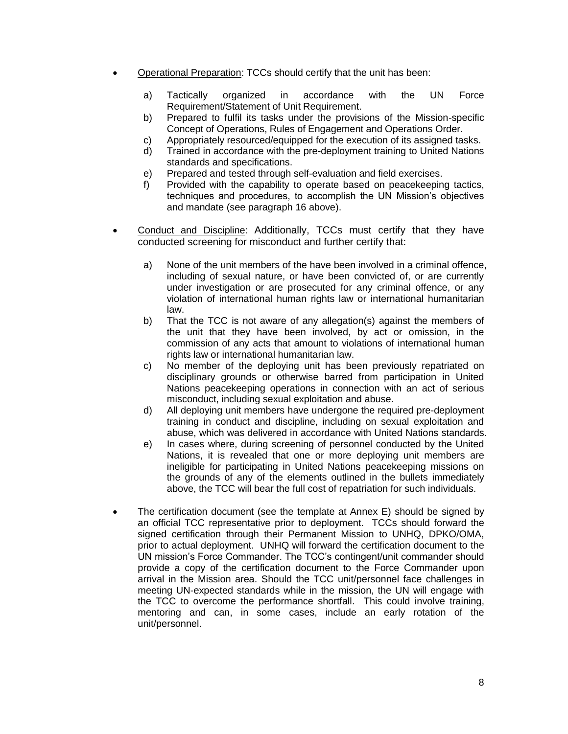- Operational Preparation: TCCs should certify that the unit has been:
	- a) Tactically organized in accordance with the UN Force Requirement/Statement of Unit Requirement.
	- b) Prepared to fulfil its tasks under the provisions of the Mission-specific Concept of Operations, Rules of Engagement and Operations Order.
	- c) Appropriately resourced/equipped for the execution of its assigned tasks.
	- d) Trained in accordance with the pre-deployment training to United Nations standards and specifications.
	- e) Prepared and tested through self-evaluation and field exercises.
	- f) Provided with the capability to operate based on peacekeeping tactics, techniques and procedures, to accomplish the UN Mission's objectives and mandate (see paragraph 16 above).
- Conduct and Discipline: Additionally, TCCs must certify that they have conducted screening for misconduct and further certify that:
	- a) None of the unit members of the have been involved in a criminal offence, including of sexual nature, or have been convicted of, or are currently under investigation or are prosecuted for any criminal offence, or any violation of international human rights law or international humanitarian law.
	- b) That the TCC is not aware of any allegation(s) against the members of the unit that they have been involved, by act or omission, in the commission of any acts that amount to violations of international human rights law or international humanitarian law.
	- c) No member of the deploying unit has been previously repatriated on disciplinary grounds or otherwise barred from participation in United Nations peacekeeping operations in connection with an act of serious misconduct, including sexual exploitation and abuse.
	- d) All deploying unit members have undergone the required pre-deployment training in conduct and discipline, including on sexual exploitation and abuse, which was delivered in accordance with United Nations standards.
	- e) In cases where, during screening of personnel conducted by the United Nations, it is revealed that one or more deploying unit members are ineligible for participating in United Nations peacekeeping missions on the grounds of any of the elements outlined in the bullets immediately above, the TCC will bear the full cost of repatriation for such individuals.
- The certification document (see the template at Annex E) should be signed by an official TCC representative prior to deployment. TCCs should forward the signed certification through their Permanent Mission to UNHQ, DPKO/OMA, prior to actual deployment. UNHQ will forward the certification document to the UN mission's Force Commander. The TCC's contingent/unit commander should provide a copy of the certification document to the Force Commander upon arrival in the Mission area. Should the TCC unit/personnel face challenges in meeting UN-expected standards while in the mission, the UN will engage with the TCC to overcome the performance shortfall. This could involve training, mentoring and can, in some cases, include an early rotation of the unit/personnel.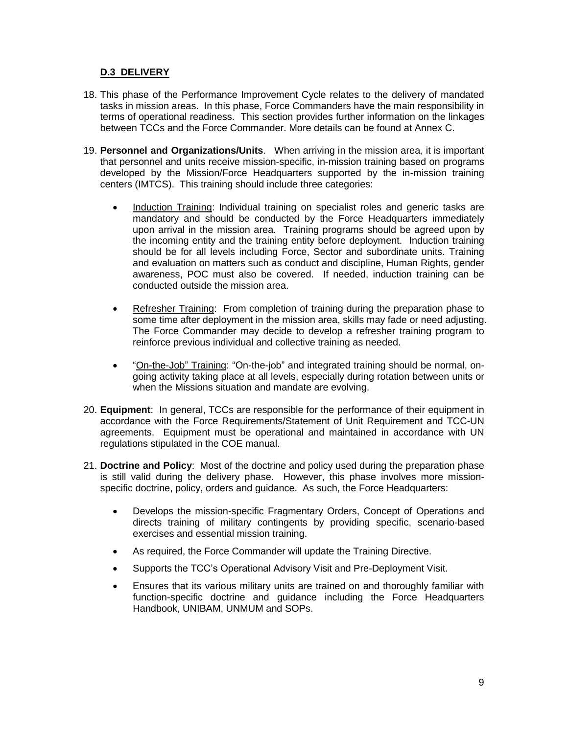#### **D.3 DELIVERY**

- 18. This phase of the Performance Improvement Cycle relates to the delivery of mandated tasks in mission areas. In this phase, Force Commanders have the main responsibility in terms of operational readiness. This section provides further information on the linkages between TCCs and the Force Commander. More details can be found at Annex C.
- 19. **Personnel and Organizations/Units**. When arriving in the mission area, it is important that personnel and units receive mission-specific, in-mission training based on programs developed by the Mission/Force Headquarters supported by the in-mission training centers (IMTCS). This training should include three categories:
	- Induction Training: Individual training on specialist roles and generic tasks are mandatory and should be conducted by the Force Headquarters immediately upon arrival in the mission area. Training programs should be agreed upon by the incoming entity and the training entity before deployment. Induction training should be for all levels including Force, Sector and subordinate units. Training and evaluation on matters such as conduct and discipline, Human Rights, gender awareness, POC must also be covered. If needed, induction training can be conducted outside the mission area.
	- Refresher Training: From completion of training during the preparation phase to some time after deployment in the mission area, skills may fade or need adjusting. The Force Commander may decide to develop a refresher training program to reinforce previous individual and collective training as needed.
	- "On-the-Job" Training: "On-the-job" and integrated training should be normal, ongoing activity taking place at all levels, especially during rotation between units or when the Missions situation and mandate are evolving.
- 20. **Equipment**: In general, TCCs are responsible for the performance of their equipment in accordance with the Force Requirements/Statement of Unit Requirement and TCC-UN agreements. Equipment must be operational and maintained in accordance with UN regulations stipulated in the COE manual.
- 21. **Doctrine and Policy**: Most of the doctrine and policy used during the preparation phase is still valid during the delivery phase. However, this phase involves more missionspecific doctrine, policy, orders and guidance. As such, the Force Headquarters:
	- Develops the mission-specific Fragmentary Orders, Concept of Operations and directs training of military contingents by providing specific, scenario-based exercises and essential mission training.
	- As required, the Force Commander will update the Training Directive.
	- Supports the TCC's Operational Advisory Visit and Pre-Deployment Visit.
	- Ensures that its various military units are trained on and thoroughly familiar with function-specific doctrine and guidance including the Force Headquarters Handbook, UNIBAM, UNMUM and SOPs.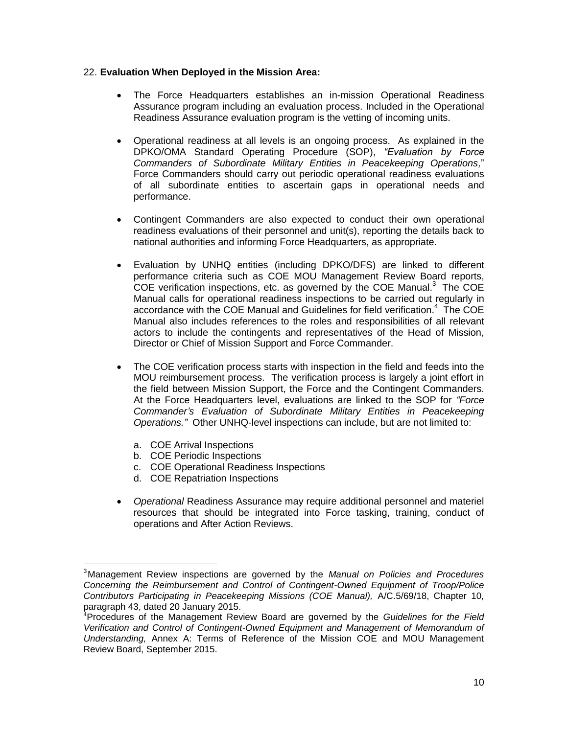#### 22. **Evaluation When Deployed in the Mission Area:**

- The Force Headquarters establishes an in-mission Operational Readiness Assurance program including an evaluation process. Included in the Operational Readiness Assurance evaluation program is the vetting of incoming units.
- Operational readiness at all levels is an ongoing process. As explained in the DPKO/OMA Standard Operating Procedure (SOP), *"Evaluation by Force Commanders of Subordinate Military Entities in Peacekeeping Operations,*" Force Commanders should carry out periodic operational readiness evaluations of all subordinate entities to ascertain gaps in operational needs and performance.
- Contingent Commanders are also expected to conduct their own operational readiness evaluations of their personnel and unit(s), reporting the details back to national authorities and informing Force Headquarters, as appropriate.
- Evaluation by UNHQ entities (including DPKO/DFS) are linked to different performance criteria such as COE MOU Management Review Board reports, COE verification inspections, etc. as governed by the COE Manual. $3$  The COE Manual calls for operational readiness inspections to be carried out regularly in accordance with the COE Manual and Guidelines for field verification.<sup>4</sup> The COE Manual also includes references to the roles and responsibilities of all relevant actors to include the contingents and representatives of the Head of Mission, Director or Chief of Mission Support and Force Commander.
- The COE verification process starts with inspection in the field and feeds into the MOU reimbursement process. The verification process is largely a joint effort in the field between Mission Support, the Force and the Contingent Commanders. At the Force Headquarters level, evaluations are linked to the SOP for *"Force Commander's Evaluation of Subordinate Military Entities in Peacekeeping Operations."* Other UNHQ-level inspections can include, but are not limited to:
	- a. COE Arrival Inspections

 $\overline{a}$ 

- b. COE Periodic Inspections
- c. COE Operational Readiness Inspections
- d. COE Repatriation Inspections
- *Operational* Readiness Assurance may require additional personnel and materiel resources that should be integrated into Force tasking, training, conduct of operations and After Action Reviews.

<sup>3</sup>Management Review inspections are governed by the *Manual on Policies and Procedures Concerning the Reimbursement and Control of Contingent-Owned Equipment of Troop/Police Contributors Participating in Peacekeeping Missions (COE Manual),* A/C.5/69/18, Chapter 10, paragraph 43, dated 20 January 2015.

<sup>4</sup>Procedures of the Management Review Board are governed by the *Guidelines for the Field Verification and Control of Contingent-Owned Equipment and Management of Memorandum of Understanding,* Annex A: Terms of Reference of the Mission COE and MOU Management Review Board, September 2015.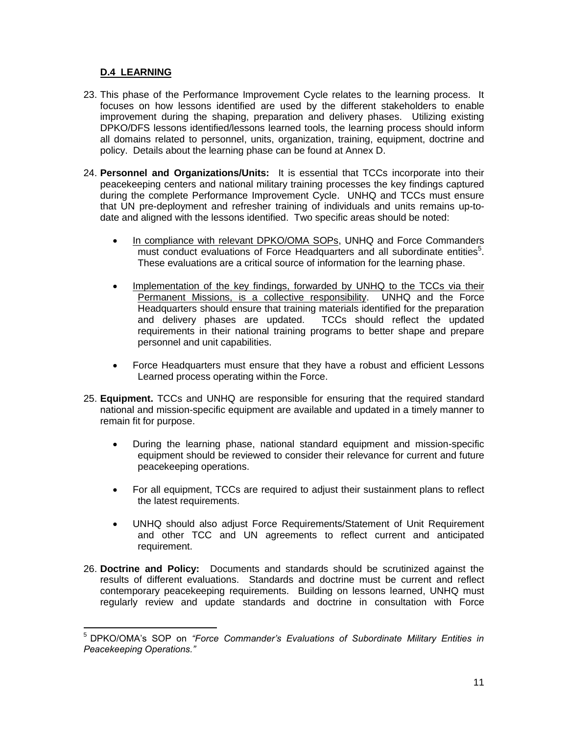#### **D.4 LEARNING**

 $\overline{a}$ 

- 23. This phase of the Performance Improvement Cycle relates to the learning process. It focuses on how lessons identified are used by the different stakeholders to enable improvement during the shaping, preparation and delivery phases. Utilizing existing DPKO/DFS lessons identified/lessons learned tools, the learning process should inform all domains related to personnel, units, organization, training, equipment, doctrine and policy. Details about the learning phase can be found at Annex D.
- 24. **Personnel and Organizations/Units:** It is essential that TCCs incorporate into their peacekeeping centers and national military training processes the key findings captured during the complete Performance Improvement Cycle. UNHQ and TCCs must ensure that UN pre-deployment and refresher training of individuals and units remains up-todate and aligned with the lessons identified. Two specific areas should be noted:
	- In compliance with relevant DPKO/OMA SOPs, UNHQ and Force Commanders must conduct evaluations of Force Headquarters and all subordinate entities<sup>5</sup>. These evaluations are a critical source of information for the learning phase.
	- Implementation of the key findings, forwarded by UNHQ to the TCCs via their Permanent Missions, is a collective responsibility. UNHQ and the Force Headquarters should ensure that training materials identified for the preparation and delivery phases are updated. TCCs should reflect the updated requirements in their national training programs to better shape and prepare personnel and unit capabilities.
	- Force Headquarters must ensure that they have a robust and efficient Lessons Learned process operating within the Force.
- 25. **Equipment.** TCCs and UNHQ are responsible for ensuring that the required standard national and mission-specific equipment are available and updated in a timely manner to remain fit for purpose.
	- During the learning phase, national standard equipment and mission-specific equipment should be reviewed to consider their relevance for current and future peacekeeping operations.
	- For all equipment, TCCs are required to adjust their sustainment plans to reflect the latest requirements.
	- UNHQ should also adjust Force Requirements/Statement of Unit Requirement and other TCC and UN agreements to reflect current and anticipated requirement.
- 26. **Doctrine and Policy:** Documents and standards should be scrutinized against the results of different evaluations. Standards and doctrine must be current and reflect contemporary peacekeeping requirements. Building on lessons learned, UNHQ must regularly review and update standards and doctrine in consultation with Force

<sup>5</sup> DPKO/OMA's SOP on *"Force Commander's Evaluations of Subordinate Military Entities in Peacekeeping Operations."*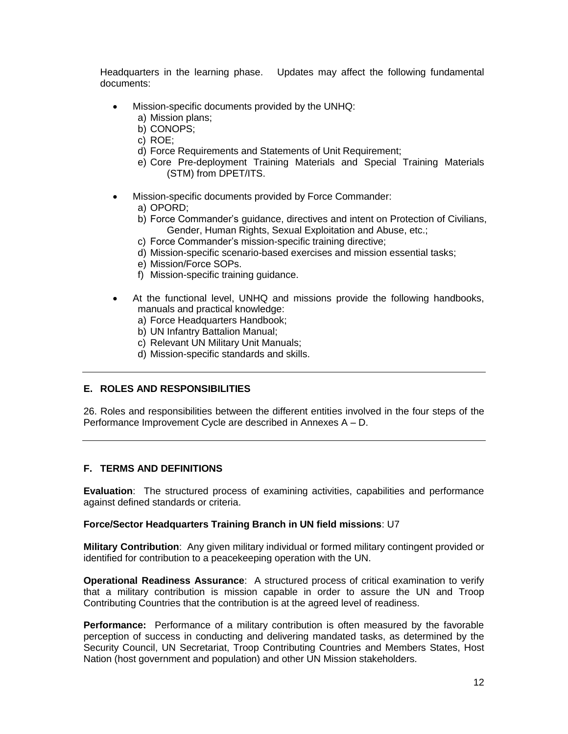Headquarters in the learning phase. Updates may affect the following fundamental documents:

- Mission-specific documents provided by the UNHQ:
	- a) Mission plans;
	- b) CONOPS;
	- c) ROE;
	- d) Force Requirements and Statements of Unit Requirement;
	- e) Core Pre-deployment Training Materials and Special Training Materials (STM) from DPET/ITS.
- Mission-specific documents provided by Force Commander:
	- a) OPORD;
	- b) Force Commander's guidance, directives and intent on Protection of Civilians, Gender, Human Rights, Sexual Exploitation and Abuse, etc.;
	- c) Force Commander's mission-specific training directive;
	- d) Mission-specific scenario-based exercises and mission essential tasks;
	- e) Mission/Force SOPs.
	- f) Mission-specific training guidance.
- At the functional level, UNHQ and missions provide the following handbooks, manuals and practical knowledge:
	- a) Force Headquarters Handbook;
	- b) UN Infantry Battalion Manual;
	- c) Relevant UN Military Unit Manuals;
	- d) Mission-specific standards and skills.

#### **E. ROLES AND RESPONSIBILITIES**

26. Roles and responsibilities between the different entities involved in the four steps of the Performance Improvement Cycle are described in Annexes A – D.

#### **F. TERMS AND DEFINITIONS**

**Evaluation**: The structured process of examining activities, capabilities and performance against defined standards or criteria.

#### **Force/Sector Headquarters Training Branch in UN field missions**: U7

**Military Contribution**: Any given military individual or formed military contingent provided or identified for contribution to a peacekeeping operation with the UN.

**Operational Readiness Assurance**: A structured process of critical examination to verify that a military contribution is mission capable in order to assure the UN and Troop Contributing Countries that the contribution is at the agreed level of readiness.

**Performance:** Performance of a military contribution is often measured by the favorable perception of success in conducting and delivering mandated tasks, as determined by the Security Council, UN Secretariat, Troop Contributing Countries and Members States, Host Nation (host government and population) and other UN Mission stakeholders.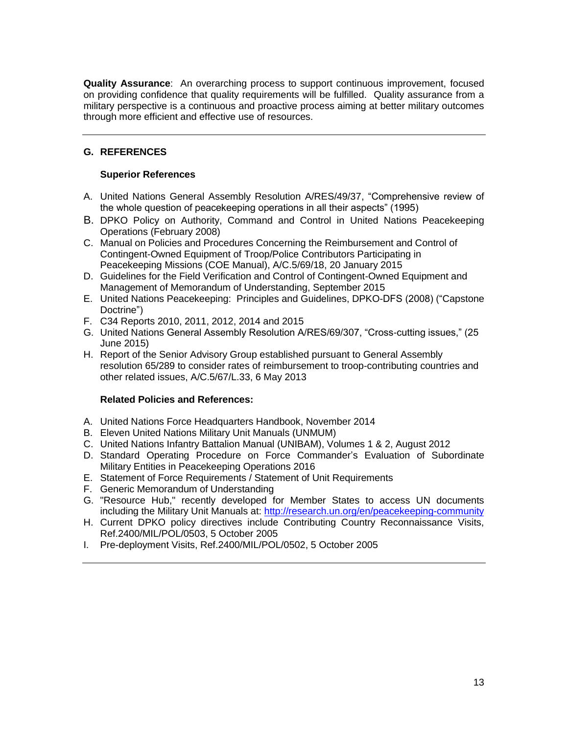**Quality Assurance**: An overarching process to support continuous improvement, focused on providing confidence that quality requirements will be fulfilled. Quality assurance from a military perspective is a continuous and proactive process aiming at better military outcomes through more efficient and effective use of resources.

### **G. REFERENCES**

#### **Superior References**

- A. United Nations General Assembly Resolution A/RES/49/37, "Comprehensive review of the whole question of peacekeeping operations in all their aspects" (1995)
- B. DPKO Policy on Authority, Command and Control in United Nations Peacekeeping Operations (February 2008)
- C. Manual on Policies and Procedures Concerning the Reimbursement and Control of Contingent-Owned Equipment of Troop/Police Contributors Participating in Peacekeeping Missions (COE Manual), A/C.5/69/18, 20 January 2015
- D. Guidelines for the Field Verification and Control of Contingent-Owned Equipment and Management of Memorandum of Understanding, September 2015
- E. United Nations Peacekeeping: Principles and Guidelines, DPKO-DFS (2008) ("Capstone Doctrine")
- F. C34 Reports 2010, 2011, 2012, 2014 and 2015
- G. United Nations General Assembly Resolution A/RES/69/307, "Cross-cutting issues," (25 June 2015)
- H. Report of the Senior Advisory Group established pursuant to General Assembly resolution 65/289 to consider rates of reimbursement to troop-contributing countries and other related issues, A/C.5/67/L.33, 6 May 2013

#### **Related Policies and References:**

- A. United Nations Force Headquarters Handbook, November 2014
- B. Eleven United Nations Military Unit Manuals (UNMUM)
- C. United Nations Infantry Battalion Manual (UNIBAM), Volumes 1 & 2, August 2012
- D. Standard Operating Procedure on Force Commander's Evaluation of Subordinate Military Entities in Peacekeeping Operations 2016
- E. Statement of Force Requirements / Statement of Unit Requirements
- F. Generic Memorandum of Understanding
- G. "Resource Hub," recently developed for Member States to access UN documents including the Military Unit Manuals at:<http://research.un.org/en/peacekeeping-community>
- H. Current DPKO policy directives include Contributing Country Reconnaissance Visits, Ref.2400/MIL/POL/0503, 5 October 2005
- I. Pre-deployment Visits, Ref.2400/MIL/POL/0502, 5 October 2005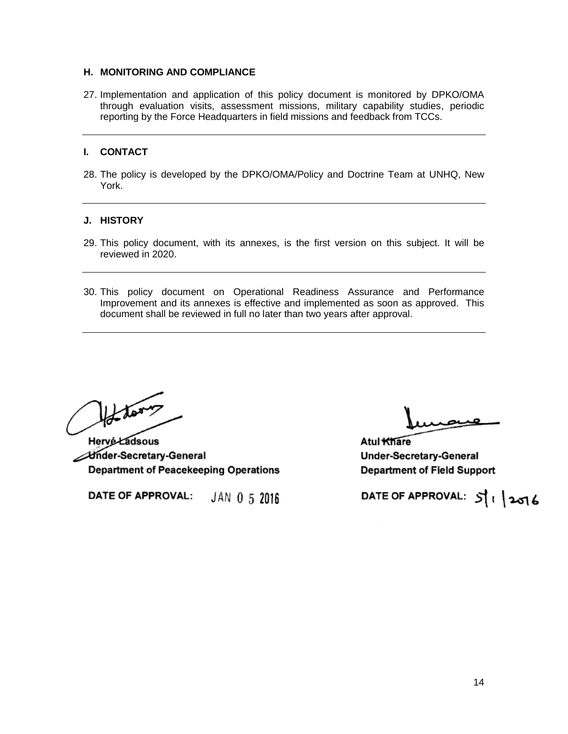#### **H. MONITORING AND COMPLIANCE**

27. Implementation and application of this policy document is monitored by DPKO/OMA through evaluation visits, assessment missions, military capability studies, periodic reporting by the Force Headquarters in field missions and feedback from TCCs.

#### **I. CONTACT**

28. The policy is developed by the DPKO/OMA/Policy and Doctrine Team at UNHQ, New York.

#### **J. HISTORY**

- 29. This policy document, with its annexes, is the first version on this subject. It will be reviewed in 2020.
- 30. This policy document on Operational Readiness Assurance and Performance Improvement and its annexes is effective and implemented as soon as approved. This document shall be reviewed in full no later than two years after approval.

Harry Lawy

Ander-Secretary-General **Department of Peacekeeping Operations** 

DATE OF APPROVAL: JAN 0 5 2016

Atul Khare Under-Secretary-General **Department of Field Support** 

DATE OF APPROVAL: 511 2016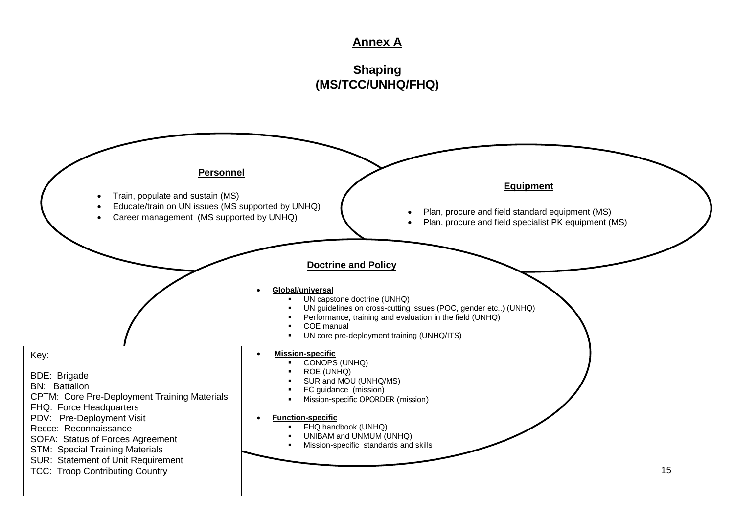## **Annex A**

# **Shaping (MS/TCC/UNHQ/FHQ)**

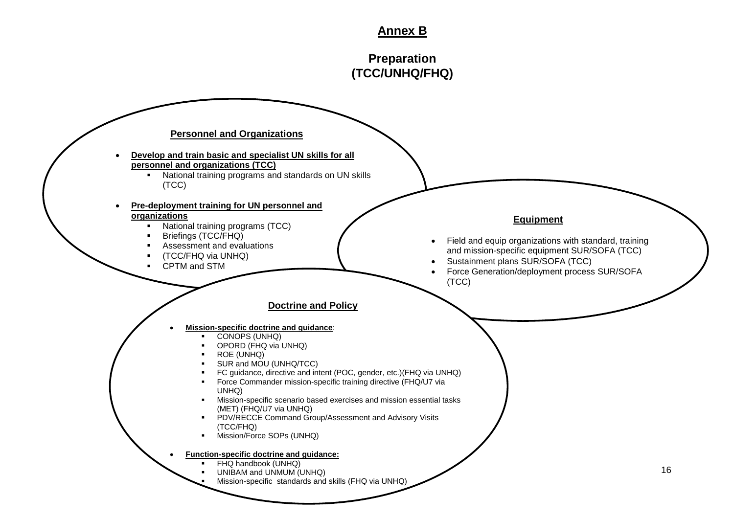# **Annex B**

# **Preparation (TCC/UNHQ/FHQ)**

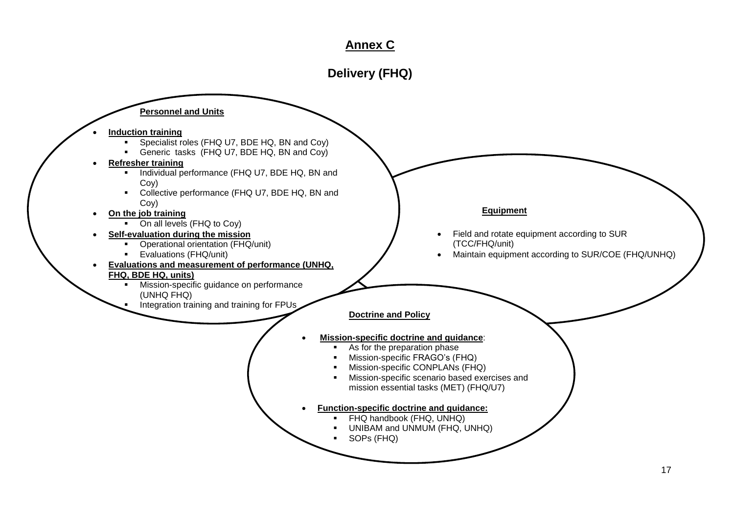# **Annex C**

# **Delivery (FHQ)**

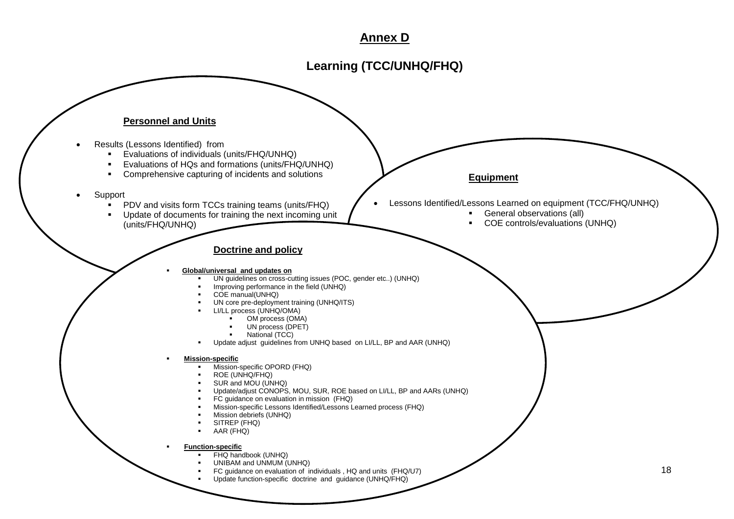## **Annex D**